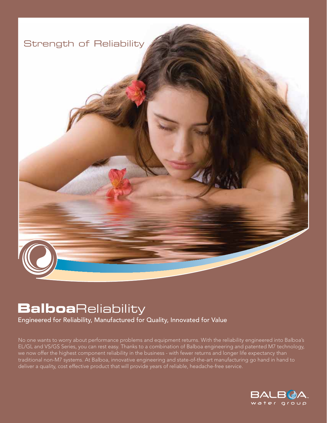

# **Balboa**Reliability

Engineered for Reliability, Manufactured for Quality, Innovated for Value

No one wants to worry about performance problems and equipment returns. With the reliability engineered into Balboa's EL/GL and VS/GS Series, you can rest easy. Thanks to a combination of Balboa engineering and patented M7 technology, we now offer the highest component reliability in the business - with fewer returns and longer life expectancy than traditional non-M7 systems. At Balboa, innovative engineering and state-of-the-art manufacturing go hand in hand to deliver a quality, cost effective product that will provide years of reliable, headache-free service.